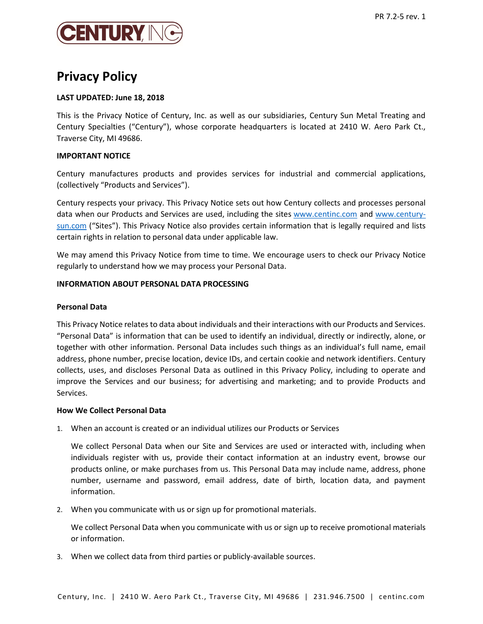

# Privacy Policy

# LAST UPDATED: June 18, 2018

This is the Privacy Notice of Century, Inc. as well as our subsidiaries, Century Sun Metal Treating and Century Specialties ("Century"), whose corporate headquarters is located at 2410 W. Aero Park Ct., Traverse City, MI 49686.

# IMPORTANT NOTICE

Century manufactures products and provides services for industrial and commercial applications, (collectively "Products and Services").

Century respects your privacy. This Privacy Notice sets out how Century collects and processes personal data when our Products and Services are used, including the sites www.centinc.com and www.centurysun.com ("Sites"). This Privacy Notice also provides certain information that is legally required and lists certain rights in relation to personal data under applicable law.

We may amend this Privacy Notice from time to time. We encourage users to check our Privacy Notice regularly to understand how we may process your Personal Data.

# INFORMATION ABOUT PERSONAL DATA PROCESSING

## Personal Data

This Privacy Notice relates to data about individuals and their interactions with our Products and Services. "Personal Data" is information that can be used to identify an individual, directly or indirectly, alone, or together with other information. Personal Data includes such things as an individual's full name, email address, phone number, precise location, device IDs, and certain cookie and network identifiers. Century collects, uses, and discloses Personal Data as outlined in this Privacy Policy, including to operate and improve the Services and our business; for advertising and marketing; and to provide Products and Services.

## How We Collect Personal Data

1. When an account is created or an individual utilizes our Products or Services

We collect Personal Data when our Site and Services are used or interacted with, including when individuals register with us, provide their contact information at an industry event, browse our products online, or make purchases from us. This Personal Data may include name, address, phone number, username and password, email address, date of birth, location data, and payment information.

2. When you communicate with us or sign up for promotional materials.

We collect Personal Data when you communicate with us or sign up to receive promotional materials or information.

3. When we collect data from third parties or publicly-available sources.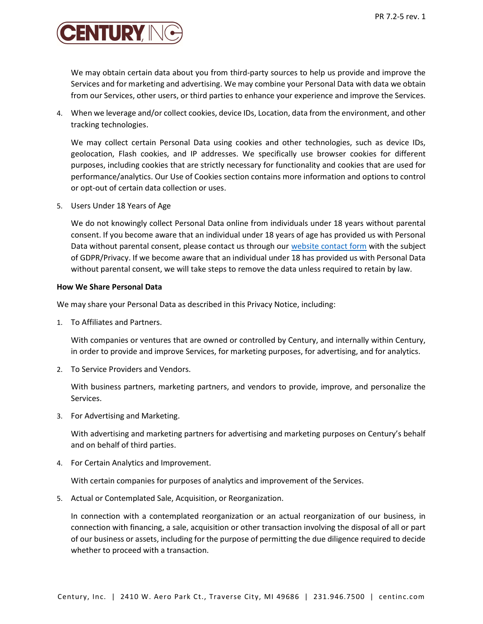

We may obtain certain data about you from third-party sources to help us provide and improve the Services and for marketing and advertising. We may combine your Personal Data with data we obtain from our Services, other users, or third parties to enhance your experience and improve the Services.

4. When we leverage and/or collect cookies, device IDs, Location, data from the environment, and other tracking technologies.

We may collect certain Personal Data using cookies and other technologies, such as device IDs, geolocation, Flash cookies, and IP addresses. We specifically use browser cookies for different purposes, including cookies that are strictly necessary for functionality and cookies that are used for performance/analytics. Our Use of Cookies section contains more information and options to control or opt-out of certain data collection or uses.

5. Users Under 18 Years of Age

We do not knowingly collect Personal Data online from individuals under 18 years without parental consent. If you become aware that an individual under 18 years of age has provided us with Personal Data without parental consent, please contact us through our website contact form with the subject of GDPR/Privacy. If we become aware that an individual under 18 has provided us with Personal Data without parental consent, we will take steps to remove the data unless required to retain by law.

## How We Share Personal Data

We may share your Personal Data as described in this Privacy Notice, including:

1. To Affiliates and Partners.

With companies or ventures that are owned or controlled by Century, and internally within Century, in order to provide and improve Services, for marketing purposes, for advertising, and for analytics.

2. To Service Providers and Vendors.

With business partners, marketing partners, and vendors to provide, improve, and personalize the Services.

3. For Advertising and Marketing.

With advertising and marketing partners for advertising and marketing purposes on Century's behalf and on behalf of third parties.

4. For Certain Analytics and Improvement.

With certain companies for purposes of analytics and improvement of the Services.

5. Actual or Contemplated Sale, Acquisition, or Reorganization.

In connection with a contemplated reorganization or an actual reorganization of our business, in connection with financing, a sale, acquisition or other transaction involving the disposal of all or part of our business or assets, including for the purpose of permitting the due diligence required to decide whether to proceed with a transaction.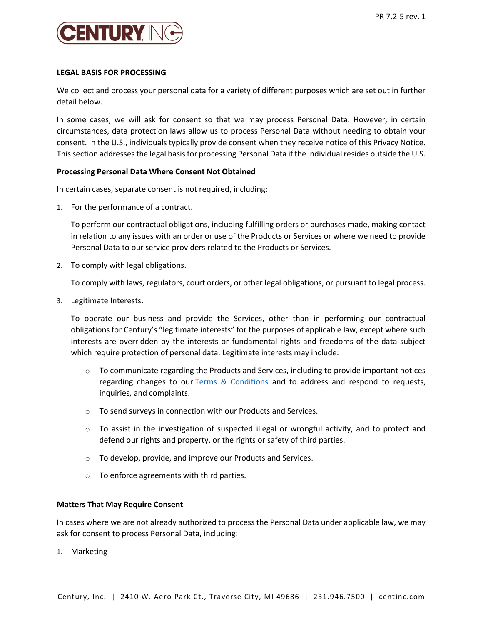

## LEGAL BASIS FOR PROCESSING

We collect and process your personal data for a variety of different purposes which are set out in further detail below.

In some cases, we will ask for consent so that we may process Personal Data. However, in certain circumstances, data protection laws allow us to process Personal Data without needing to obtain your consent. In the U.S., individuals typically provide consent when they receive notice of this Privacy Notice. This section addresses the legal basis for processing Personal Data if the individual resides outside the U.S.

## Processing Personal Data Where Consent Not Obtained

In certain cases, separate consent is not required, including:

1. For the performance of a contract.

To perform our contractual obligations, including fulfilling orders or purchases made, making contact in relation to any issues with an order or use of the Products or Services or where we need to provide Personal Data to our service providers related to the Products or Services.

2. To comply with legal obligations.

To comply with laws, regulators, court orders, or other legal obligations, or pursuant to legal process.

3. Legitimate Interests.

To operate our business and provide the Services, other than in performing our contractual obligations for Century's "legitimate interests" for the purposes of applicable law, except where such interests are overridden by the interests or fundamental rights and freedoms of the data subject which require protection of personal data. Legitimate interests may include:

- $\circ$  To communicate regarding the Products and Services, including to provide important notices regarding changes to our Terms & Conditions and to address and respond to requests, inquiries, and complaints.
- o To send surveys in connection with our Products and Services.
- $\circ$  To assist in the investigation of suspected illegal or wrongful activity, and to protect and defend our rights and property, or the rights or safety of third parties.
- o To develop, provide, and improve our Products and Services.
- o To enforce agreements with third parties.

#### Matters That May Require Consent

In cases where we are not already authorized to process the Personal Data under applicable law, we may ask for consent to process Personal Data, including:

1. Marketing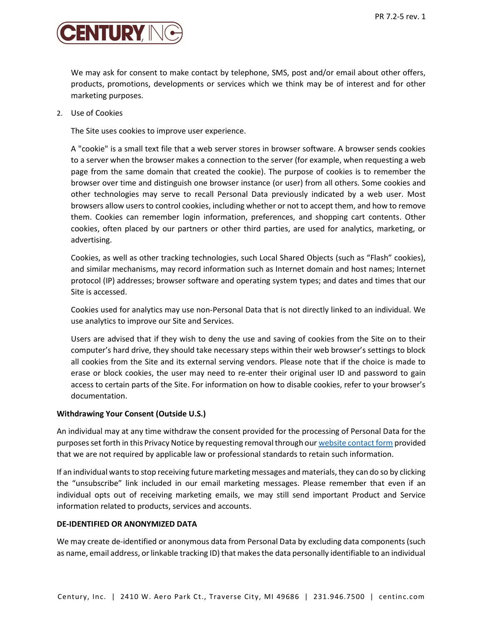

We may ask for consent to make contact by telephone, SMS, post and/or email about other offers, products, promotions, developments or services which we think may be of interest and for other marketing purposes.

2. Use of Cookies

The Site uses cookies to improve user experience.

A "cookie" is a small text file that a web server stores in browser software. A browser sends cookies to a server when the browser makes a connection to the server (for example, when requesting a web page from the same domain that created the cookie). The purpose of cookies is to remember the browser over time and distinguish one browser instance (or user) from all others. Some cookies and other technologies may serve to recall Personal Data previously indicated by a web user. Most browsers allow users to control cookies, including whether or not to accept them, and how to remove them. Cookies can remember login information, preferences, and shopping cart contents. Other cookies, often placed by our partners or other third parties, are used for analytics, marketing, or advertising.

Cookies, as well as other tracking technologies, such Local Shared Objects (such as "Flash" cookies), and similar mechanisms, may record information such as Internet domain and host names; Internet protocol (IP) addresses; browser software and operating system types; and dates and times that our Site is accessed.

Cookies used for analytics may use non-Personal Data that is not directly linked to an individual. We use analytics to improve our Site and Services.

Users are advised that if they wish to deny the use and saving of cookies from the Site on to their computer's hard drive, they should take necessary steps within their web browser's settings to block all cookies from the Site and its external serving vendors. Please note that if the choice is made to erase or block cookies, the user may need to re-enter their original user ID and password to gain access to certain parts of the Site. For information on how to disable cookies, refer to your browser's documentation.

## Withdrawing Your Consent (Outside U.S.)

An individual may at any time withdraw the consent provided for the processing of Personal Data for the purposes set forth in this Privacy Notice by requesting removal through our website contact form provided that we are not required by applicable law or professional standards to retain such information.

If an individual wants to stop receiving future marketing messages and materials, they can do so by clicking the "unsubscribe" link included in our email marketing messages. Please remember that even if an individual opts out of receiving marketing emails, we may still send important Product and Service information related to products, services and accounts.

#### DE-IDENTIFIED OR ANONYMIZED DATA

We may create de-identified or anonymous data from Personal Data by excluding data components (such as name, email address, or linkable tracking ID) that makes the data personally identifiable to an individual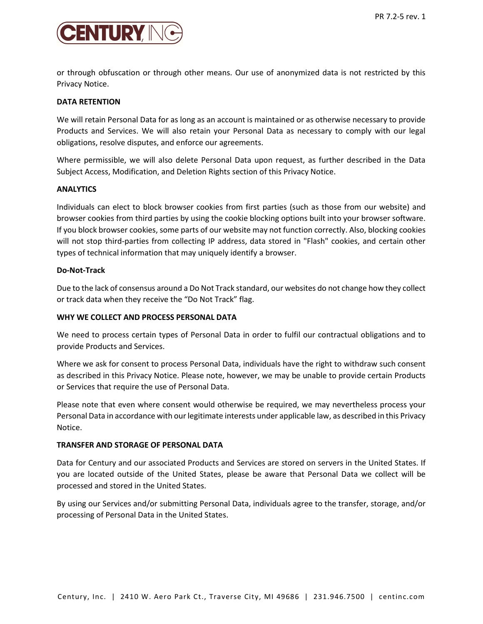

or through obfuscation or through other means. Our use of anonymized data is not restricted by this Privacy Notice.

# DATA RETENTION

We will retain Personal Data for as long as an account is maintained or as otherwise necessary to provide Products and Services. We will also retain your Personal Data as necessary to comply with our legal obligations, resolve disputes, and enforce our agreements.

Where permissible, we will also delete Personal Data upon request, as further described in the Data Subject Access, Modification, and Deletion Rights section of this Privacy Notice.

## ANALYTICS

Individuals can elect to block browser cookies from first parties (such as those from our website) and browser cookies from third parties by using the cookie blocking options built into your browser software. If you block browser cookies, some parts of our website may not function correctly. Also, blocking cookies will not stop third-parties from collecting IP address, data stored in "Flash" cookies, and certain other types of technical information that may uniquely identify a browser.

# Do-Not-Track

Due to the lack of consensus around a Do Not Track standard, our websites do not change how they collect or track data when they receive the "Do Not Track" flag.

# WHY WE COLLECT AND PROCESS PERSONAL DATA

We need to process certain types of Personal Data in order to fulfil our contractual obligations and to provide Products and Services.

Where we ask for consent to process Personal Data, individuals have the right to withdraw such consent as described in this Privacy Notice. Please note, however, we may be unable to provide certain Products or Services that require the use of Personal Data.

Please note that even where consent would otherwise be required, we may nevertheless process your Personal Data in accordance with our legitimate interests under applicable law, as described in this Privacy Notice.

## TRANSFER AND STORAGE OF PERSONAL DATA

Data for Century and our associated Products and Services are stored on servers in the United States. If you are located outside of the United States, please be aware that Personal Data we collect will be processed and stored in the United States.

By using our Services and/or submitting Personal Data, individuals agree to the transfer, storage, and/or processing of Personal Data in the United States.